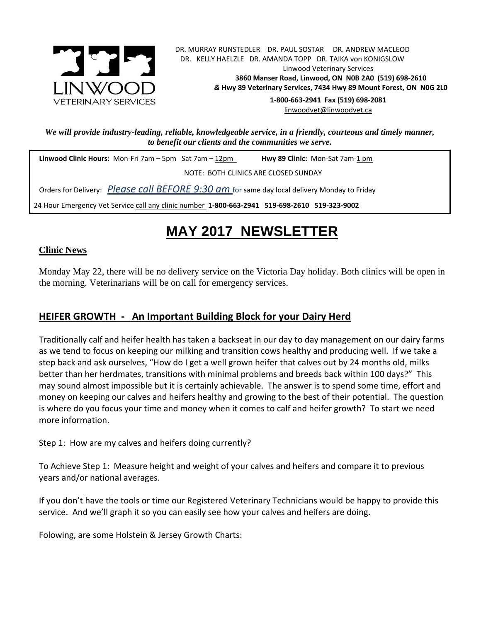

. DR. MURRAY RUNSTEDLER DR. PAUL SOSTAR DR. ANDREW MACLEOD DR. KELLY HAELZLE DR. AMANDA TOPP DR. TAIKA von KONIGSLOW Linwood Veterinary Services **3860 Manser Road, Linwood, ON N0B 2A0 (519) 698-2610** *&* **Hwy 89 Veterinary Services, 7434 Hwy 89 Mount Forest, ON N0G 2L0**

> **1-800-663-2941 Fax (519) 698-2081** [linwoodvet@linwoodvet.ca](mailto:linwoodvet@linwoodvet.ca)

*We will provide industry-leading, reliable, knowledgeable service, in a friendly, courteous and timely manner, to benefit our clients and the communities we serve.*

**Linwood Clinic Hours:** Mon-Fri 7am – 5pm Sat 7am – 12pm **Hwy 89 Clinic:** Mon-Sat 7am-1 pm

NOTE: BOTH CLINICS ARE CLOSED SUNDAY

Orders for Delivery: *Please call BEFORE 9:30 am* for same day local delivery Monday to Friday

24 Hour Emergency Vet Service call any clinic number **1-800-663-2941 519-698-2610 519-323-9002**

## **MAY 2017 NEWSLETTER**

## **Clinic News**

Monday May 22, there will be no delivery service on the Victoria Day holiday. Both clinics will be open in the morning. Veterinarians will be on call for emergency services.

## **HEIFER GROWTH - An Important Building Block for your Dairy Herd**

Traditionally calf and heifer health has taken a backseat in our day to day management on our dairy farms as we tend to focus on keeping our milking and transition cows healthy and producing well. If we take a step back and ask ourselves, "How do I get a well grown heifer that calves out by 24 months old, milks better than her herdmates, transitions with minimal problems and breeds back within 100 days?" This may sound almost impossible but it is certainly achievable. The answer is to spend some time, effort and money on keeping our calves and heifers healthy and growing to the best of their potential. The question is where do you focus your time and money when it comes to calf and heifer growth? To start we need more information.

Step 1: How are my calves and heifers doing currently?

To Achieve Step 1: Measure height and weight of your calves and heifers and compare it to previous years and/or national averages.

If you don't have the tools or time our Registered Veterinary Technicians would be happy to provide this service. And we'll graph it so you can easily see how your calves and heifers are doing.

Folowing, are some Holstein & Jersey Growth Charts: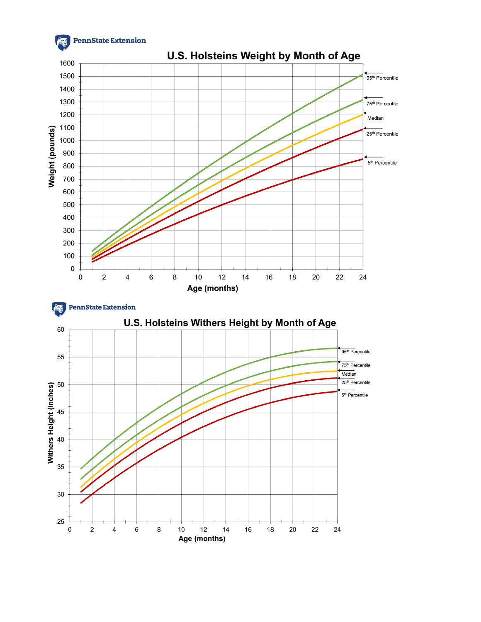